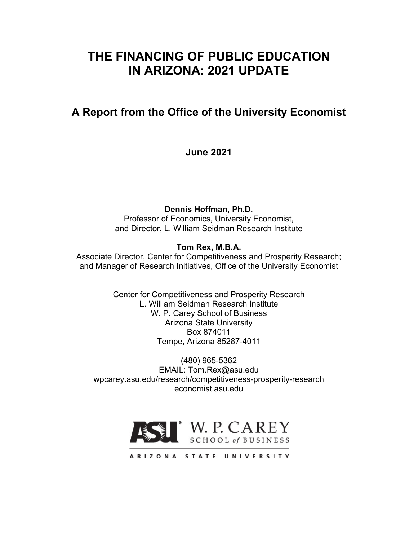# **THE FINANCING OF PUBLIC EDUCATION IN ARIZONA: 2021 UPDATE**

# **A Report from the Office of the University Economist**

**June 2021**

**Dennis Hoffman, Ph.D.**

Professor of Economics, University Economist, and Director, L. William Seidman Research Institute

## **Tom Rex, M.B.A.**

Associate Director, Center for Competitiveness and Prosperity Research; and Manager of Research Initiatives, Office of the University Economist

> Center for Competitiveness and Prosperity Research L. William Seidman Research Institute W. P. Carey School of Business Arizona State University Box 874011 Tempe, Arizona 85287-4011

(480) 965-5362 EMAIL: Tom.Rex@asu.edu wpcarey.asu.edu/research/competitiveness-prosperity-research economist.asu.edu



ARIZONA STATE UNIVERSITY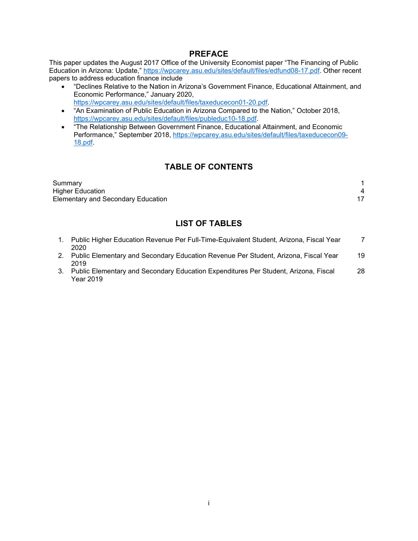#### **PREFACE**

This paper updates the August 2017 Office of the University Economist paper "The Financing of Public Education in Arizona: Update," [https://wpcarey.asu.edu/sites/default/files/edfund08-17.pdf.](https://wpcarey.asu.edu/sites/default/files/edfund08-17.pdf) Other recent papers to address education finance include

- "Declines Relative to the Nation in Arizona's Government Finance, Educational Attainment, and Economic Performance," January 2020, [https://wpcarey.asu.edu/sites/default/files/taxeducecon01-20.pdf.](https://wpcarey.asu.edu/sites/default/files/taxeducecon01-20.pdf)
- "An Examination of Public Education in Arizona Compared to the Nation," October 2018, [https://wpcarey.asu.edu/sites/default/files/publeduc10-18.pdf.](https://wpcarey.asu.edu/sites/default/files/publeduc10-18.pdf)
- "The Relationship Between Government Finance, Educational Attainment, and Economic Performance," September 2018, [https://wpcarey.asu.edu/sites/default/files/taxeducecon09-](https://wpcarey.asu.edu/sites/default/files/taxeducecon09-18.pdf) [18.pdf.](https://wpcarey.asu.edu/sites/default/files/taxeducecon09-18.pdf)

## **TABLE OF CONTENTS**

| Summary                                   |  |
|-------------------------------------------|--|
| <b>Higher Education</b>                   |  |
| <b>Elementary and Secondary Education</b> |  |

### **LIST OF TABLES**

| Public Higher Education Revenue Per Full-Time-Equivalent Student, Arizona, Fiscal Year<br>2020 |    |
|------------------------------------------------------------------------------------------------|----|
| Public Elementary and Secondary Education Revenue Per Student, Arizona, Fiscal Year            | 19 |
| 2019<br>Public Flementary and Secondary Education Expenditures Der Student, Arizona, Fiscal    | າຂ |

3. Public Elementary and Secondary Education Expenditures Per Student, Arizona, Fiscal Year 2019 28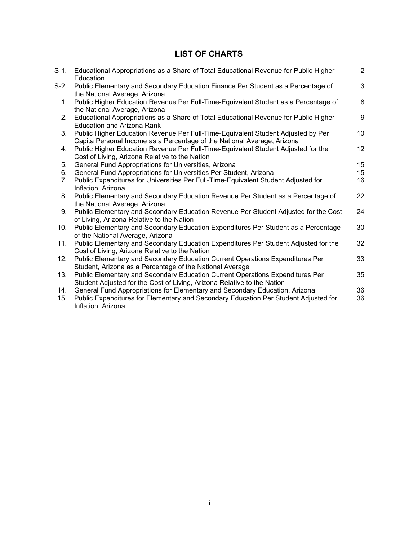## **LIST OF CHARTS**

| $S-1$ .    | Educational Appropriations as a Share of Total Educational Revenue for Public Higher<br>Education                                                                                        | $\overline{2}$ |
|------------|------------------------------------------------------------------------------------------------------------------------------------------------------------------------------------------|----------------|
| S-2.       | Public Elementary and Secondary Education Finance Per Student as a Percentage of<br>the National Average, Arizona                                                                        | 3              |
| 1.         | Public Higher Education Revenue Per Full-Time-Equivalent Student as a Percentage of<br>the National Average, Arizona                                                                     | 8              |
| 2.         | Educational Appropriations as a Share of Total Educational Revenue for Public Higher<br>Education and Arizona Rank                                                                       | 9              |
| 3.         | Public Higher Education Revenue Per Full-Time-Equivalent Student Adjusted by Per<br>Capita Personal Income as a Percentage of the National Average, Arizona                              | 10             |
| 4.         | Public Higher Education Revenue Per Full-Time-Equivalent Student Adjusted for the<br>Cost of Living, Arizona Relative to the Nation                                                      | 12             |
| 5.         | General Fund Appropriations for Universities, Arizona                                                                                                                                    | 15             |
| 6.         | General Fund Appropriations for Universities Per Student, Arizona                                                                                                                        | 15             |
| 7.         | Public Expenditures for Universities Per Full-Time-Equivalent Student Adjusted for<br>Inflation, Arizona                                                                                 | 16             |
| 8.         | Public Elementary and Secondary Education Revenue Per Student as a Percentage of<br>the National Average, Arizona                                                                        | 22             |
| 9.         | Public Elementary and Secondary Education Revenue Per Student Adjusted for the Cost<br>of Living, Arizona Relative to the Nation                                                         | 24             |
| 10.        | Public Elementary and Secondary Education Expenditures Per Student as a Percentage<br>of the National Average, Arizona                                                                   | 30             |
| 11.        | Public Elementary and Secondary Education Expenditures Per Student Adjusted for the<br>Cost of Living, Arizona Relative to the Nation                                                    | 32             |
| 12.        | Public Elementary and Secondary Education Current Operations Expenditures Per<br>Student, Arizona as a Percentage of the National Average                                                | 33             |
| 13.        | Public Elementary and Secondary Education Current Operations Expenditures Per<br>Student Adjusted for the Cost of Living, Arizona Relative to the Nation                                 | 35             |
| 14.<br>15. | General Fund Appropriations for Elementary and Secondary Education, Arizona<br>Public Expenditures for Elementary and Secondary Education Per Student Adjusted for<br>Inflation, Arizona | 36<br>36       |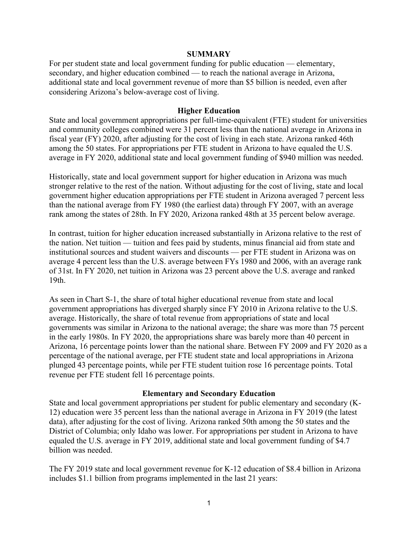#### **SUMMARY**

For per student state and local government funding for public education — elementary, secondary, and higher education combined — to reach the national average in Arizona, additional state and local government revenue of more than \$5 billion is needed, even after considering Arizona's below-average cost of living.

#### **Higher Education**

State and local government appropriations per full-time-equivalent (FTE) student for universities and community colleges combined were 31 percent less than the national average in Arizona in fiscal year (FY) 2020, after adjusting for the cost of living in each state. Arizona ranked 46th among the 50 states. For appropriations per FTE student in Arizona to have equaled the U.S. average in FY 2020, additional state and local government funding of \$940 million was needed.

Historically, state and local government support for higher education in Arizona was much stronger relative to the rest of the nation. Without adjusting for the cost of living, state and local government higher education appropriations per FTE student in Arizona averaged 7 percent less than the national average from FY 1980 (the earliest data) through FY 2007, with an average rank among the states of 28th. In FY 2020, Arizona ranked 48th at 35 percent below average.

In contrast, tuition for higher education increased substantially in Arizona relative to the rest of the nation. Net tuition — tuition and fees paid by students, minus financial aid from state and institutional sources and student waivers and discounts — per FTE student in Arizona was on average 4 percent less than the U.S. average between FYs 1980 and 2006, with an average rank of 31st. In FY 2020, net tuition in Arizona was 23 percent above the U.S. average and ranked 19th.

As seen in Chart S-1, the share of total higher educational revenue from state and local government appropriations has diverged sharply since FY 2010 in Arizona relative to the U.S. average. Historically, the share of total revenue from appropriations of state and local governments was similar in Arizona to the national average; the share was more than 75 percent in the early 1980s. In FY 2020, the appropriations share was barely more than 40 percent in Arizona, 16 percentage points lower than the national share. Between FY 2009 and FY 2020 as a percentage of the national average, per FTE student state and local appropriations in Arizona plunged 43 percentage points, while per FTE student tuition rose 16 percentage points. Total revenue per FTE student fell 16 percentage points.

#### **Elementary and Secondary Education**

State and local government appropriations per student for public elementary and secondary (K-12) education were 35 percent less than the national average in Arizona in FY 2019 (the latest data), after adjusting for the cost of living. Arizona ranked 50th among the 50 states and the District of Columbia; only Idaho was lower. For appropriations per student in Arizona to have equaled the U.S. average in FY 2019, additional state and local government funding of \$4.7 billion was needed.

The FY 2019 state and local government revenue for K-12 education of \$8.4 billion in Arizona includes \$1.1 billion from programs implemented in the last 21 years: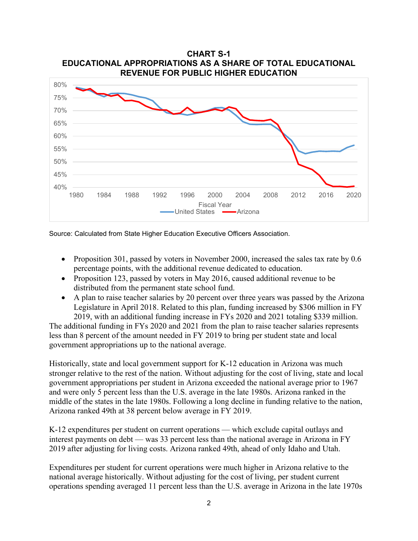

Source: Calculated from State Higher Education Executive Officers Association.

- Proposition 301, passed by voters in November 2000, increased the sales tax rate by 0.6 percentage points, with the additional revenue dedicated to education.
- Proposition 123, passed by voters in May 2016, caused additional revenue to be distributed from the permanent state school fund.
- A plan to raise teacher salaries by 20 percent over three years was passed by the Arizona Legislature in April 2018. Related to this plan, funding increased by \$306 million in FY 2019, with an additional funding increase in FYs 2020 and 2021 totaling \$339 million.

The additional funding in FYs 2020 and 2021 from the plan to raise teacher salaries represents less than 8 percent of the amount needed in FY 2019 to bring per student state and local government appropriations up to the national average.

Historically, state and local government support for K-12 education in Arizona was much stronger relative to the rest of the nation. Without adjusting for the cost of living, state and local government appropriations per student in Arizona exceeded the national average prior to 1967 and were only 5 percent less than the U.S. average in the late 1980s. Arizona ranked in the middle of the states in the late 1980s. Following a long decline in funding relative to the nation, Arizona ranked 49th at 38 percent below average in FY 2019.

K-12 expenditures per student on current operations — which exclude capital outlays and interest payments on debt — was 33 percent less than the national average in Arizona in FY 2019 after adjusting for living costs. Arizona ranked 49th, ahead of only Idaho and Utah.

Expenditures per student for current operations were much higher in Arizona relative to the national average historically. Without adjusting for the cost of living, per student current operations spending averaged 11 percent less than the U.S. average in Arizona in the late 1970s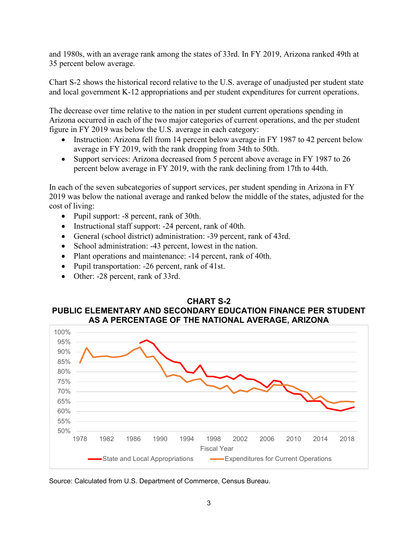and 1980s, with an average rank among the states of 33rd. In FY 2019, Arizona ranked 49th at 35 percent below average.

Chart S-2 shows the historical record relative to the U.S. average of unadjusted per student state and local government K-12 appropriations and per student expenditures for current operations.

The decrease over time relative to the nation in per student current operations spending in Arizona occurred in each of the two major categories of current operations, and the per student figure in FY 2019 was below the U.S. average in each category:

- Instruction: Arizona fell from 14 percent below average in FY 1987 to 42 percent below average in FY 2019, with the rank dropping from 34th to 50th.
- Support services: Arizona decreased from 5 percent above average in FY 1987 to 26 percent below average in FY 2019, with the rank declining from 17th to 44th.

In each of the seven subcategories of support services, per student spending in Arizona in FY 2019 was below the national average and ranked below the middle of the states, adjusted for the cost of living:

- Pupil support: -8 percent, rank of 30th.
- Instructional staff support: -24 percent, rank of 40th.
- General (school district) administration: -39 percent, rank of 43rd.
- School administration: -43 percent, lowest in the nation.
- Plant operations and maintenance: -14 percent, rank of 40th.
- Pupil transportation: -26 percent, rank of 41st.
- Other: -28 percent, rank of 33rd.





Source: Calculated from U.S. Department of Commerce, Census Bureau.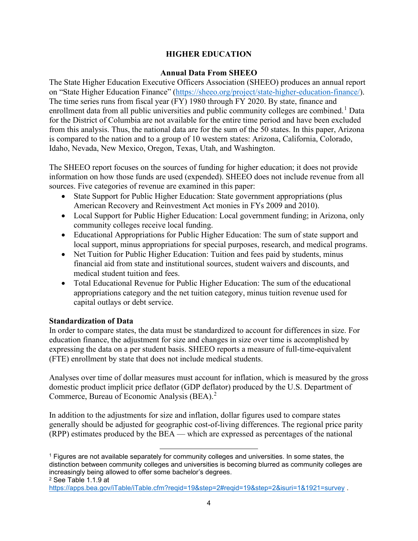#### **HIGHER EDUCATION**

#### **Annual Data From SHEEO**

The State Higher Education Executive Officers Association (SHEEO) produces an annual report on "State Higher Education Finance" [\(https://sheeo.org/project/state-higher-education-finance/\)](https://sheeo.org/project/state-higher-education-finance/). The time series runs from fiscal year (FY) 1980 through FY 2020. By state, finance and enrollment data from all public universities and public community colleges are combined.<sup>[1](#page-6-0)</sup> Data for the District of Columbia are not available for the entire time period and have been excluded from this analysis. Thus, the national data are for the sum of the 50 states. In this paper, Arizona is compared to the nation and to a group of 10 western states: Arizona, California, Colorado, Idaho, Nevada, New Mexico, Oregon, Texas, Utah, and Washington.

The SHEEO report focuses on the sources of funding for higher education; it does not provide information on how those funds are used (expended). SHEEO does not include revenue from all sources. Five categories of revenue are examined in this paper:

- State Support for Public Higher Education: State government appropriations (plus American Recovery and Reinvestment Act monies in FYs 2009 and 2010).
- Local Support for Public Higher Education: Local government funding; in Arizona, only community colleges receive local funding.
- Educational Appropriations for Public Higher Education: The sum of state support and local support, minus appropriations for special purposes, research, and medical programs.
- Net Tuition for Public Higher Education: Tuition and fees paid by students, minus financial aid from state and institutional sources, student waivers and discounts, and medical student tuition and fees.
- Total Educational Revenue for Public Higher Education: The sum of the educational appropriations category and the net tuition category, minus tuition revenue used for capital outlays or debt service.

#### **Standardization of Data**

In order to compare states, the data must be standardized to account for differences in size. For education finance, the adjustment for size and changes in size over time is accomplished by expressing the data on a per student basis. SHEEO reports a measure of full-time-equivalent (FTE) enrollment by state that does not include medical students.

Analyses over time of dollar measures must account for inflation, which is measured by the gross domestic product implicit price deflator (GDP deflator) produced by the U.S. Department of Commerce, Bureau of Economic Analysis (BEA).<sup>[2](#page-6-1)</sup>

In addition to the adjustments for size and inflation, dollar figures used to compare states generally should be adjusted for geographic cost-of-living differences. The regional price parity (RPP) estimates produced by the BEA — which are expressed as percentages of the national

<span id="page-6-0"></span><sup>1</sup> Figures are not available separately for community colleges and universities. In some states, the distinction between community colleges and universities is becoming blurred as community colleges are increasingly being allowed to offer some bachelor's degrees.

<span id="page-6-1"></span><sup>2</sup> See Table 1.1.9 at

<https://apps.bea.gov/iTable/iTable.cfm?reqid=19&step=2#reqid=19&step=2&isuri=1&1921=survey> .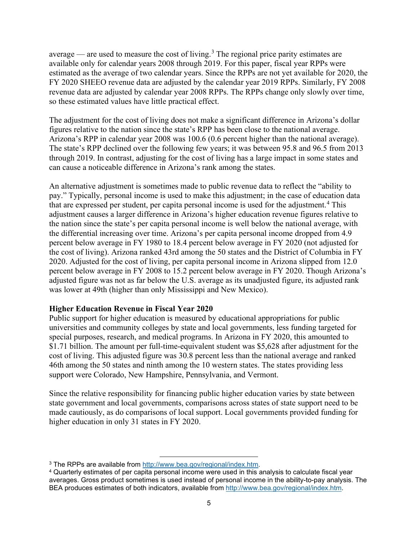average — are used to measure the cost of living.<sup>[3](#page-7-0)</sup> The regional price parity estimates are available only for calendar years 2008 through 2019. For this paper, fiscal year RPPs were estimated as the average of two calendar years. Since the RPPs are not yet available for 2020, the FY 2020 SHEEO revenue data are adjusted by the calendar year 2019 RPPs. Similarly, FY 2008 revenue data are adjusted by calendar year 2008 RPPs. The RPPs change only slowly over time, so these estimated values have little practical effect.

The adjustment for the cost of living does not make a significant difference in Arizona's dollar figures relative to the nation since the state's RPP has been close to the national average. Arizona's RPP in calendar year 2008 was 100.6 (0.6 percent higher than the national average). The state's RPP declined over the following few years; it was between 95.8 and 96.5 from 2013 through 2019. In contrast, adjusting for the cost of living has a large impact in some states and can cause a noticeable difference in Arizona's rank among the states.

An alternative adjustment is sometimes made to public revenue data to reflect the "ability to pay." Typically, personal income is used to make this adjustment; in the case of education data that are expressed per student, per capita personal income is used for the adjustment.<sup>[4](#page-7-1)</sup> This adjustment causes a larger difference in Arizona's higher education revenue figures relative to the nation since the state's per capita personal income is well below the national average, with the differential increasing over time. Arizona's per capita personal income dropped from 4.9 percent below average in FY 1980 to 18.4 percent below average in FY 2020 (not adjusted for the cost of living). Arizona ranked 43rd among the 50 states and the District of Columbia in FY 2020. Adjusted for the cost of living, per capita personal income in Arizona slipped from 12.0 percent below average in FY 2008 to 15.2 percent below average in FY 2020. Though Arizona's adjusted figure was not as far below the U.S. average as its unadjusted figure, its adjusted rank was lower at 49th (higher than only Mississippi and New Mexico).

#### **Higher Education Revenue in Fiscal Year 2020**

Public support for higher education is measured by educational appropriations for public universities and community colleges by state and local governments, less funding targeted for special purposes, research, and medical programs. In Arizona in FY 2020, this amounted to \$1.71 billion. The amount per full-time-equivalent student was \$5,628 after adjustment for the cost of living. This adjusted figure was 30.8 percent less than the national average and ranked 46th among the 50 states and ninth among the 10 western states. The states providing less support were Colorado, New Hampshire, Pennsylvania, and Vermont.

Since the relative responsibility for financing public higher education varies by state between state government and local governments, comparisons across states of state support need to be made cautiously, as do comparisons of local support. Local governments provided funding for higher education in only 31 states in FY 2020.

<span id="page-7-0"></span><sup>3</sup> The RPPs are available from [http://www.bea.gov/regional/index.htm.](http://www.bea.gov/regional/index.htm)

<span id="page-7-1"></span><sup>4</sup> Quarterly estimates of per capita personal income were used in this analysis to calculate fiscal year averages. Gross product sometimes is used instead of personal income in the ability-to-pay analysis. The BEA produces estimates of both indicators, available from [http://www.bea.gov/regional/index.htm.](http://www.bea.gov/regional/index.htm)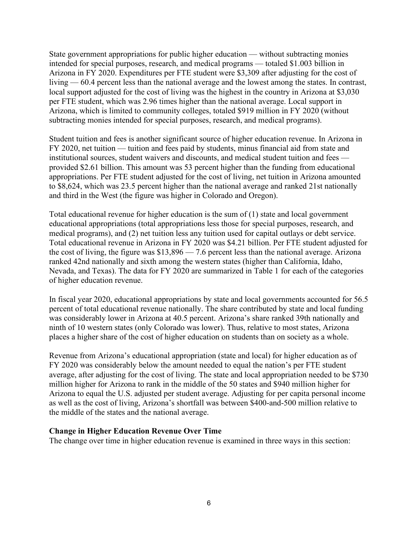State government appropriations for public higher education — without subtracting monies intended for special purposes, research, and medical programs — totaled \$1.003 billion in Arizona in FY 2020. Expenditures per FTE student were \$3,309 after adjusting for the cost of living — 60.4 percent less than the national average and the lowest among the states. In contrast, local support adjusted for the cost of living was the highest in the country in Arizona at \$3,030 per FTE student, which was 2.96 times higher than the national average. Local support in Arizona, which is limited to community colleges, totaled \$919 million in FY 2020 (without subtracting monies intended for special purposes, research, and medical programs).

Student tuition and fees is another significant source of higher education revenue. In Arizona in FY 2020, net tuition — tuition and fees paid by students, minus financial aid from state and institutional sources, student waivers and discounts, and medical student tuition and fees provided \$2.61 billion. This amount was 53 percent higher than the funding from educational appropriations. Per FTE student adjusted for the cost of living, net tuition in Arizona amounted to \$8,624, which was 23.5 percent higher than the national average and ranked 21st nationally and third in the West (the figure was higher in Colorado and Oregon).

Total educational revenue for higher education is the sum of (1) state and local government educational appropriations (total appropriations less those for special purposes, research, and medical programs), and (2) net tuition less any tuition used for capital outlays or debt service. Total educational revenue in Arizona in FY 2020 was \$4.21 billion. Per FTE student adjusted for the cost of living, the figure was  $$13,896 - 7.6$  percent less than the national average. Arizona ranked 42nd nationally and sixth among the western states (higher than California, Idaho, Nevada, and Texas). The data for FY 2020 are summarized in Table 1 for each of the categories of higher education revenue.

In fiscal year 2020, educational appropriations by state and local governments accounted for 56.5 percent of total educational revenue nationally. The share contributed by state and local funding was considerably lower in Arizona at 40.5 percent. Arizona's share ranked 39th nationally and ninth of 10 western states (only Colorado was lower). Thus, relative to most states, Arizona places a higher share of the cost of higher education on students than on society as a whole.

Revenue from Arizona's educational appropriation (state and local) for higher education as of FY 2020 was considerably below the amount needed to equal the nation's per FTE student average, after adjusting for the cost of living. The state and local appropriation needed to be \$730 million higher for Arizona to rank in the middle of the 50 states and \$940 million higher for Arizona to equal the U.S. adjusted per student average. Adjusting for per capita personal income as well as the cost of living, Arizona's shortfall was between \$400-and-500 million relative to the middle of the states and the national average.

#### **Change in Higher Education Revenue Over Time**

The change over time in higher education revenue is examined in three ways in this section: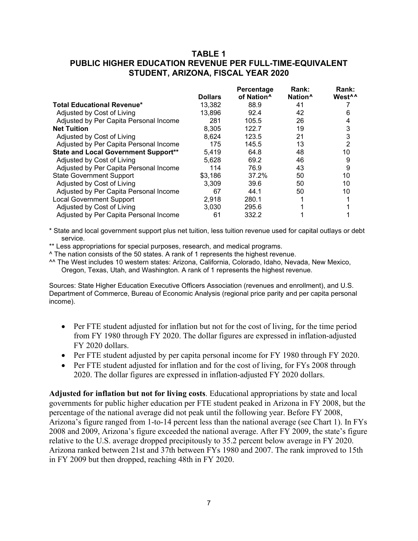#### **TABLE 1 PUBLIC HIGHER EDUCATION REVENUE PER FULL-TIME-EQUIVALENT STUDENT, ARIZONA, FISCAL YEAR 2020**

|                                             | <b>Dollars</b> | Percentage<br>of Nation <sup>^</sup> | Rank:<br>Nation <sup>^</sup> | Rank:<br>West <sup>^^</sup> |
|---------------------------------------------|----------------|--------------------------------------|------------------------------|-----------------------------|
| <b>Total Educational Revenue*</b>           | 13,382         | 88.9                                 | 41                           |                             |
| Adjusted by Cost of Living                  | 13,896         | 92.4                                 | 42                           | 6                           |
| Adjusted by Per Capita Personal Income      | 281            | 105.5                                | 26                           | 4                           |
| <b>Net Tuition</b>                          | 8.305          | 122.7                                | 19                           | 3                           |
| Adjusted by Cost of Living                  | 8,624          | 123.5                                | 21                           | 3                           |
| Adjusted by Per Capita Personal Income      | 175            | 145.5                                | 13                           | 2                           |
| <b>State and Local Government Support**</b> | 5,419          | 64.8                                 | 48                           | 10                          |
| Adjusted by Cost of Living                  | 5,628          | 69.2                                 | 46                           | 9                           |
| Adjusted by Per Capita Personal Income      | 114            | 76.9                                 | 43                           | 9                           |
| <b>State Government Support</b>             | \$3,186        | 37.2%                                | 50                           | 10                          |
| Adjusted by Cost of Living                  | 3.309          | 39.6                                 | 50                           | 10                          |
| Adjusted by Per Capita Personal Income      | 67             | 44.1                                 | 50                           | 10                          |
| <b>Local Government Support</b>             | 2,918          | 280.1                                |                              |                             |
| Adjusted by Cost of Living                  | 3.030          | 295.6                                |                              |                             |
| Adjusted by Per Capita Personal Income      | 61             | 332.2                                |                              |                             |

\* State and local government support plus net tuition, less tuition revenue used for capital outlays or debt service.

\*\* Less appropriations for special purposes, research, and medical programs.

^ The nation consists of the 50 states. A rank of 1 represents the highest revenue.

^^ The West includes 10 western states: Arizona, California, Colorado, Idaho, Nevada, New Mexico, Oregon, Texas, Utah, and Washington. A rank of 1 represents the highest revenue.

Sources: State Higher Education Executive Officers Association (revenues and enrollment), and U.S. Department of Commerce, Bureau of Economic Analysis (regional price parity and per capita personal income).

- Per FTE student adjusted for inflation but not for the cost of living, for the time period from FY 1980 through FY 2020. The dollar figures are expressed in inflation-adjusted FY 2020 dollars.
- Per FTE student adjusted by per capita personal income for FY 1980 through FY 2020.
- Per FTE student adjusted for inflation and for the cost of living, for FYs 2008 through 2020. The dollar figures are expressed in inflation-adjusted FY 2020 dollars.

**Adjusted for inflation but not for living costs**. Educational appropriations by state and local governments for public higher education per FTE student peaked in Arizona in FY 2008, but the percentage of the national average did not peak until the following year. Before FY 2008, Arizona's figure ranged from 1-to-14 percent less than the national average (see Chart 1). In FYs 2008 and 2009, Arizona's figure exceeded the national average. After FY 2009, the state's figure relative to the U.S. average dropped precipitously to 35.2 percent below average in FY 2020. Arizona ranked between 21st and 37th between FYs 1980 and 2007. The rank improved to 15th in FY 2009 but then dropped, reaching 48th in FY 2020.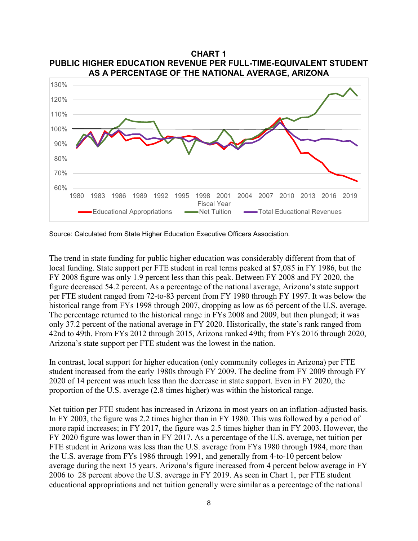

**CHART 1 PUBLIC HIGHER EDUCATION REVENUE PER FULL-TIME-EQUIVALENT STUDENT AS A PERCENTAGE OF THE NATIONAL AVERAGE, ARIZONA**

Source: Calculated from State Higher Education Executive Officers Association.

The trend in state funding for public higher education was considerably different from that of local funding. State support per FTE student in real terms peaked at \$7,085 in FY 1986, but the FY 2008 figure was only 1.9 percent less than this peak. Between FY 2008 and FY 2020, the figure decreased 54.2 percent. As a percentage of the national average, Arizona's state support per FTE student ranged from 72-to-83 percent from FY 1980 through FY 1997. It was below the historical range from FYs 1998 through 2007, dropping as low as 65 percent of the U.S. average. The percentage returned to the historical range in FYs 2008 and 2009, but then plunged; it was only 37.2 percent of the national average in FY 2020. Historically, the state's rank ranged from 42nd to 49th. From FYs 2012 through 2015, Arizona ranked 49th; from FYs 2016 through 2020, Arizona's state support per FTE student was the lowest in the nation.

In contrast, local support for higher education (only community colleges in Arizona) per FTE student increased from the early 1980s through FY 2009. The decline from FY 2009 through FY 2020 of 14 percent was much less than the decrease in state support. Even in FY 2020, the proportion of the U.S. average (2.8 times higher) was within the historical range.

Net tuition per FTE student has increased in Arizona in most years on an inflation-adjusted basis. In FY 2003, the figure was 2.2 times higher than in FY 1980. This was followed by a period of more rapid increases; in FY 2017, the figure was 2.5 times higher than in FY 2003. However, the FY 2020 figure was lower than in FY 2017. As a percentage of the U.S. average, net tuition per FTE student in Arizona was less than the U.S. average from FYs 1980 through 1984, more than the U.S. average from FYs 1986 through 1991, and generally from 4-to-10 percent below average during the next 15 years. Arizona's figure increased from 4 percent below average in FY 2006 to 28 percent above the U.S. average in FY 2019. As seen in Chart 1, per FTE student educational appropriations and net tuition generally were similar as a percentage of the national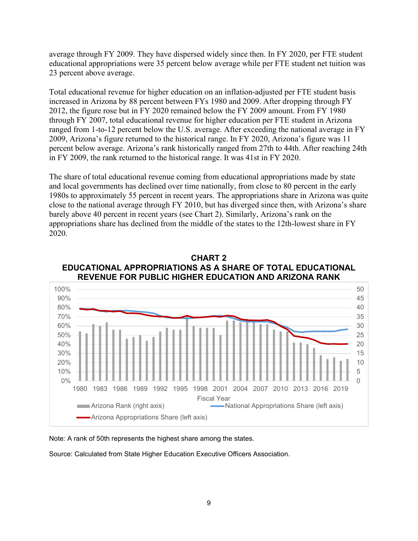average through FY 2009. They have dispersed widely since then. In FY 2020, per FTE student educational appropriations were 35 percent below average while per FTE student net tuition was 23 percent above average.

Total educational revenue for higher education on an inflation-adjusted per FTE student basis increased in Arizona by 88 percent between FYs 1980 and 2009. After dropping through FY 2012, the figure rose but in FY 2020 remained below the FY 2009 amount. From FY 1980 through FY 2007, total educational revenue for higher education per FTE student in Arizona ranged from 1-to-12 percent below the U.S. average. After exceeding the national average in FY 2009, Arizona's figure returned to the historical range. In FY 2020, Arizona's figure was 11 percent below average. Arizona's rank historically ranged from 27th to 44th. After reaching 24th in FY 2009, the rank returned to the historical range. It was 41st in FY 2020.

The share of total educational revenue coming from educational appropriations made by state and local governments has declined over time nationally, from close to 80 percent in the early 1980s to approximately 55 percent in recent years. The appropriations share in Arizona was quite close to the national average through FY 2010, but has diverged since then, with Arizona's share barely above 40 percent in recent years (see Chart 2). Similarly, Arizona's rank on the appropriations share has declined from the middle of the states to the 12th-lowest share in FY 2020.



**CHART 2 EDUCATIONAL APPROPRIATIONS AS A SHARE OF TOTAL EDUCATIONAL REVENUE FOR PUBLIC HIGHER EDUCATION AND ARIZONA RANK**

Note: A rank of 50th represents the highest share among the states.

Source: Calculated from State Higher Education Executive Officers Association.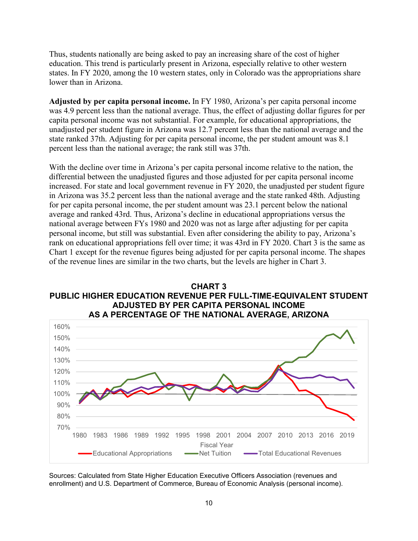Thus, students nationally are being asked to pay an increasing share of the cost of higher education. This trend is particularly present in Arizona, especially relative to other western states. In FY 2020, among the 10 western states, only in Colorado was the appropriations share lower than in Arizona.

**Adjusted by per capita personal income.** In FY 1980, Arizona's per capita personal income was 4.9 percent less than the national average. Thus, the effect of adjusting dollar figures for per capita personal income was not substantial. For example, for educational appropriations, the unadjusted per student figure in Arizona was 12.7 percent less than the national average and the state ranked 37th. Adjusting for per capita personal income, the per student amount was 8.1 percent less than the national average; the rank still was 37th.

With the decline over time in Arizona's per capita personal income relative to the nation, the differential between the unadjusted figures and those adjusted for per capita personal income increased. For state and local government revenue in FY 2020, the unadjusted per student figure in Arizona was 35.2 percent less than the national average and the state ranked 48th. Adjusting for per capita personal income, the per student amount was 23.1 percent below the national average and ranked 43rd. Thus, Arizona's decline in educational appropriations versus the national average between FYs 1980 and 2020 was not as large after adjusting for per capita personal income, but still was substantial. Even after considering the ability to pay, Arizona's rank on educational appropriations fell over time; it was 43rd in FY 2020. Chart 3 is the same as Chart 1 except for the revenue figures being adjusted for per capita personal income. The shapes of the revenue lines are similar in the two charts, but the levels are higher in Chart 3.





Sources: Calculated from State Higher Education Executive Officers Association (revenues and enrollment) and U.S. Department of Commerce, Bureau of Economic Analysis (personal income).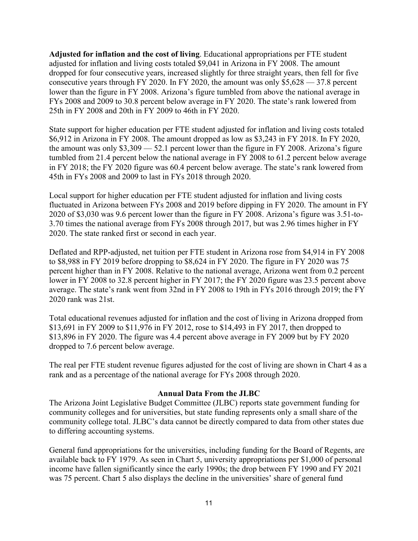**Adjusted for inflation and the cost of living**. Educational appropriations per FTE student adjusted for inflation and living costs totaled \$9,041 in Arizona in FY 2008. The amount dropped for four consecutive years, increased slightly for three straight years, then fell for five consecutive years through FY 2020. In FY 2020, the amount was only \$5,628 — 37.8 percent lower than the figure in FY 2008. Arizona's figure tumbled from above the national average in FYs 2008 and 2009 to 30.8 percent below average in FY 2020. The state's rank lowered from 25th in FY 2008 and 20th in FY 2009 to 46th in FY 2020.

State support for higher education per FTE student adjusted for inflation and living costs totaled \$6,912 in Arizona in FY 2008. The amount dropped as low as \$3,243 in FY 2018. In FY 2020, the amount was only \$3,309 — 52.1 percent lower than the figure in FY 2008. Arizona's figure tumbled from 21.4 percent below the national average in FY 2008 to 61.2 percent below average in FY 2018; the FY 2020 figure was 60.4 percent below average. The state's rank lowered from 45th in FYs 2008 and 2009 to last in FYs 2018 through 2020.

Local support for higher education per FTE student adjusted for inflation and living costs fluctuated in Arizona between FYs 2008 and 2019 before dipping in FY 2020. The amount in FY 2020 of \$3,030 was 9.6 percent lower than the figure in FY 2008. Arizona's figure was 3.51-to-3.70 times the national average from FYs 2008 through 2017, but was 2.96 times higher in FY 2020. The state ranked first or second in each year.

Deflated and RPP-adjusted, net tuition per FTE student in Arizona rose from \$4,914 in FY 2008 to \$8,988 in FY 2019 before dropping to \$8,624 in FY 2020. The figure in FY 2020 was 75 percent higher than in FY 2008. Relative to the national average, Arizona went from 0.2 percent lower in FY 2008 to 32.8 percent higher in FY 2017; the FY 2020 figure was 23.5 percent above average. The state's rank went from 32nd in FY 2008 to 19th in FYs 2016 through 2019; the FY 2020 rank was 21st.

Total educational revenues adjusted for inflation and the cost of living in Arizona dropped from \$13,691 in FY 2009 to \$11,976 in FY 2012, rose to \$14,493 in FY 2017, then dropped to \$13,896 in FY 2020. The figure was 4.4 percent above average in FY 2009 but by FY 2020 dropped to 7.6 percent below average.

The real per FTE student revenue figures adjusted for the cost of living are shown in Chart 4 as a rank and as a percentage of the national average for FYs 2008 through 2020.

#### **Annual Data From the JLBC**

The Arizona Joint Legislative Budget Committee (JLBC) reports state government funding for community colleges and for universities, but state funding represents only a small share of the community college total. JLBC's data cannot be directly compared to data from other states due to differing accounting systems.

General fund appropriations for the universities, including funding for the Board of Regents, are available back to FY 1979. As seen in Chart 5, university appropriations per \$1,000 of personal income have fallen significantly since the early 1990s; the drop between FY 1990 and FY 2021 was 75 percent. Chart 5 also displays the decline in the universities' share of general fund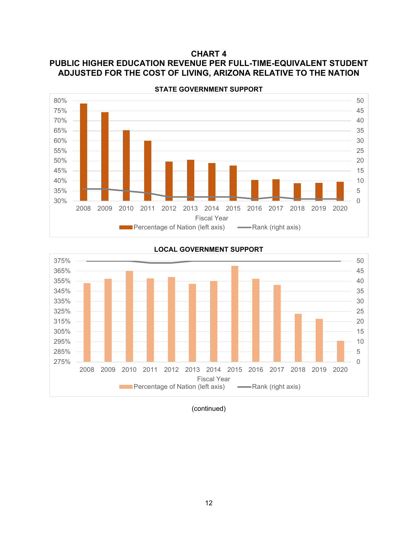## **CHART 4 PUBLIC HIGHER EDUCATION REVENUE PER FULL-TIME-EQUIVALENT STUDENT ADJUSTED FOR THE COST OF LIVING, ARIZONA RELATIVE TO THE NATION**



0 5 10 15 20 25 30 35 40 45 50 275% 285% 295% 305% 315% 325% 335% 345% 355% 365% 375% 2008 2009 2010 2011 2012 2013 2014 2015 2016 2017 2018 2019 2020 Fiscal Year **Percentage of Nation (left axis) -Rank (right axis)** 

**LOCAL GOVERNMENT SUPPORT**

(continued)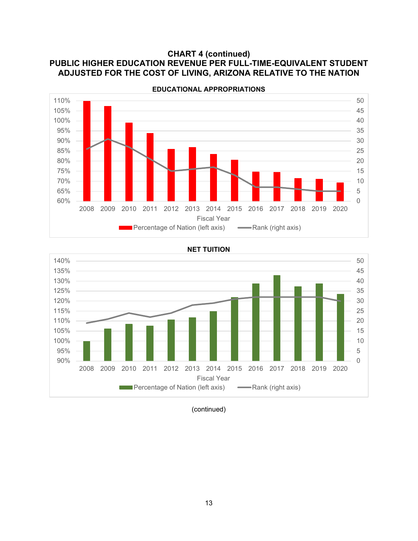## **CHART 4 (continued) PUBLIC HIGHER EDUCATION REVENUE PER FULL-TIME-EQUIVALENT STUDENT ADJUSTED FOR THE COST OF LIVING, ARIZONA RELATIVE TO THE NATION**



**EDUCATIONAL APPROPRIATIONS**

#### **NET TUITION**



(continued)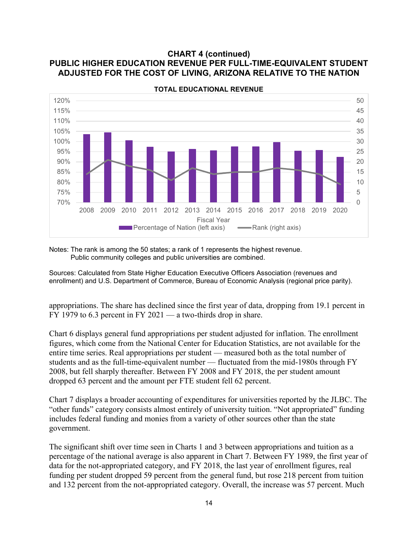#### **CHART 4 (continued) PUBLIC HIGHER EDUCATION REVENUE PER FULL-TIME-EQUIVALENT STUDENT ADJUSTED FOR THE COST OF LIVING, ARIZONA RELATIVE TO THE NATION**



**TOTAL EDUCATIONAL REVENUE**

Notes: The rank is among the 50 states; a rank of 1 represents the highest revenue. Public community colleges and public universities are combined.

Sources: Calculated from State Higher Education Executive Officers Association (revenues and enrollment) and U.S. Department of Commerce, Bureau of Economic Analysis (regional price parity).

appropriations. The share has declined since the first year of data, dropping from 19.1 percent in FY 1979 to 6.3 percent in FY 2021 — a two-thirds drop in share.

Chart 6 displays general fund appropriations per student adjusted for inflation. The enrollment figures, which come from the National Center for Education Statistics, are not available for the entire time series. Real appropriations per student — measured both as the total number of students and as the full-time-equivalent number — fluctuated from the mid-1980s through FY 2008, but fell sharply thereafter. Between FY 2008 and FY 2018, the per student amount dropped 63 percent and the amount per FTE student fell 62 percent.

Chart 7 displays a broader accounting of expenditures for universities reported by the JLBC. The "other funds" category consists almost entirely of university tuition. "Not appropriated" funding includes federal funding and monies from a variety of other sources other than the state government.

The significant shift over time seen in Charts 1 and 3 between appropriations and tuition as a percentage of the national average is also apparent in Chart 7. Between FY 1989, the first year of data for the not-appropriated category, and FY 2018, the last year of enrollment figures, real funding per student dropped 59 percent from the general fund, but rose 218 percent from tuition and 132 percent from the not-appropriated category. Overall, the increase was 57 percent. Much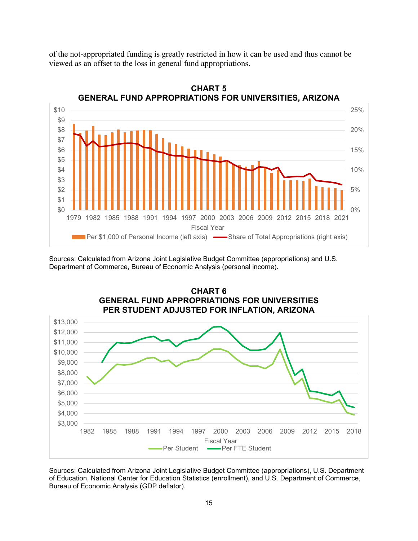of the not-appropriated funding is greatly restricted in how it can be used and thus cannot be viewed as an offset to the loss in general fund appropriations.



**CHART 5 GENERAL FUND APPROPRIATIONS FOR UNIVERSITIES, ARIZONA**

Sources: Calculated from Arizona Joint Legislative Budget Committee (appropriations) and U.S. Department of Commerce, Bureau of Economic Analysis (personal income).



Sources: Calculated from Arizona Joint Legislative Budget Committee (appropriations), U.S. Department of Education, National Center for Education Statistics (enrollment), and U.S. Department of Commerce, Bureau of Economic Analysis (GDP deflator).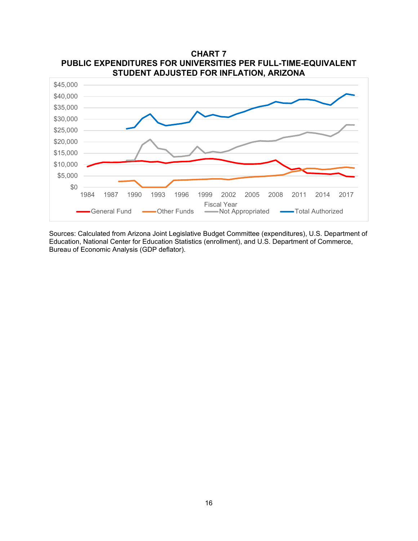

Sources: Calculated from Arizona Joint Legislative Budget Committee (expenditures), U.S. Department of Education, National Center for Education Statistics (enrollment), and U.S. Department of Commerce, Bureau of Economic Analysis (GDP deflator).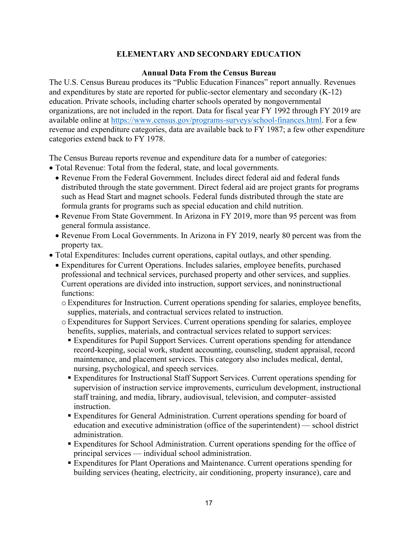### **ELEMENTARY AND SECONDARY EDUCATION**

#### **Annual Data From the Census Bureau**

The U.S. Census Bureau produces its "Public Education Finances" report annually. Revenues and expenditures by state are reported for public-sector elementary and secondary (K-12) education. Private schools, including charter schools operated by nongovernmental organizations, are not included in the report. Data for fiscal year FY 1992 through FY 2019 are available online at [https://www.census.gov/programs-surveys/school-finances.html.](https://www.census.gov/programs-surveys/school-finances.html) For a few revenue and expenditure categories, data are available back to FY 1987; a few other expenditure categories extend back to FY 1978.

The Census Bureau reports revenue and expenditure data for a number of categories:

- Total Revenue: Total from the federal, state, and local governments.
	- Revenue From the Federal Government. Includes direct federal aid and federal funds distributed through the state government. Direct federal aid are project grants for programs such as Head Start and magnet schools. Federal funds distributed through the state are formula grants for programs such as special education and child nutrition.
	- Revenue From State Government. In Arizona in FY 2019, more than 95 percent was from general formula assistance.
	- Revenue From Local Governments. In Arizona in FY 2019, nearly 80 percent was from the property tax.
- Total Expenditures: Includes current operations, capital outlays, and other spending.
	- Expenditures for Current Operations. Includes salaries, employee benefits, purchased professional and technical services, purchased property and other services, and supplies. Current operations are divided into instruction, support services, and noninstructional functions:
		- oExpenditures for Instruction. Current operations spending for salaries, employee benefits, supplies, materials, and contractual services related to instruction.
		- oExpenditures for Support Services. Current operations spending for salaries, employee benefits, supplies, materials, and contractual services related to support services:
			- Expenditures for Pupil Support Services. Current operations spending for attendance record-keeping, social work, student accounting, counseling, student appraisal, record maintenance, and placement services. This category also includes medical, dental, nursing, psychological, and speech services.
			- Expenditures for Instructional Staff Support Services. Current operations spending for supervision of instruction service improvements, curriculum development, instructional staff training, and media, library, audiovisual, television, and computer–assisted instruction.
			- Expenditures for General Administration. Current operations spending for board of education and executive administration (office of the superintendent) — school district administration.
			- Expenditures for School Administration. Current operations spending for the office of principal services — individual school administration.
			- Expenditures for Plant Operations and Maintenance. Current operations spending for building services (heating, electricity, air conditioning, property insurance), care and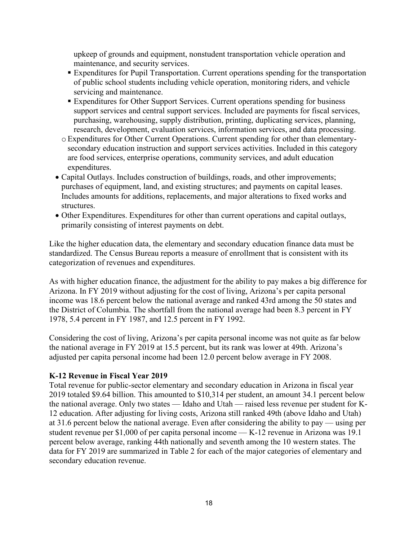upkeep of grounds and equipment, nonstudent transportation vehicle operation and maintenance, and security services.

- **Expenditures for Pupil Transportation. Current operations spending for the transportation** of public school students including vehicle operation, monitoring riders, and vehicle servicing and maintenance.
- **Expenditures for Other Support Services. Current operations spending for business** support services and central support services. Included are payments for fiscal services, purchasing, warehousing, supply distribution, printing, duplicating services, planning, research, development, evaluation services, information services, and data processing.
- oExpenditures for Other Current Operations. Current spending for other than elementarysecondary education instruction and support services activities. Included in this category are food services, enterprise operations, community services, and adult education expenditures.
- Capital Outlays. Includes construction of buildings, roads, and other improvements; purchases of equipment, land, and existing structures; and payments on capital leases. Includes amounts for additions, replacements, and major alterations to fixed works and structures.
- Other Expenditures. Expenditures for other than current operations and capital outlays, primarily consisting of interest payments on debt.

Like the higher education data, the elementary and secondary education finance data must be standardized. The Census Bureau reports a measure of enrollment that is consistent with its categorization of revenues and expenditures.

As with higher education finance, the adjustment for the ability to pay makes a big difference for Arizona. In FY 2019 without adjusting for the cost of living, Arizona's per capita personal income was 18.6 percent below the national average and ranked 43rd among the 50 states and the District of Columbia. The shortfall from the national average had been 8.3 percent in FY 1978, 5.4 percent in FY 1987, and 12.5 percent in FY 1992.

Considering the cost of living, Arizona's per capita personal income was not quite as far below the national average in FY 2019 at 15.5 percent, but its rank was lower at 49th. Arizona's adjusted per capita personal income had been 12.0 percent below average in FY 2008.

### **K-12 Revenue in Fiscal Year 2019**

Total revenue for public-sector elementary and secondary education in Arizona in fiscal year 2019 totaled \$9.64 billion. This amounted to \$10,314 per student, an amount 34.1 percent below the national average. Only two states — Idaho and Utah — raised less revenue per student for K-12 education. After adjusting for living costs, Arizona still ranked 49th (above Idaho and Utah) at 31.6 percent below the national average. Even after considering the ability to pay — using per student revenue per \$1,000 of per capita personal income — K-12 revenue in Arizona was 19.1 percent below average, ranking 44th nationally and seventh among the 10 western states. The data for FY 2019 are summarized in Table 2 for each of the major categories of elementary and secondary education revenue.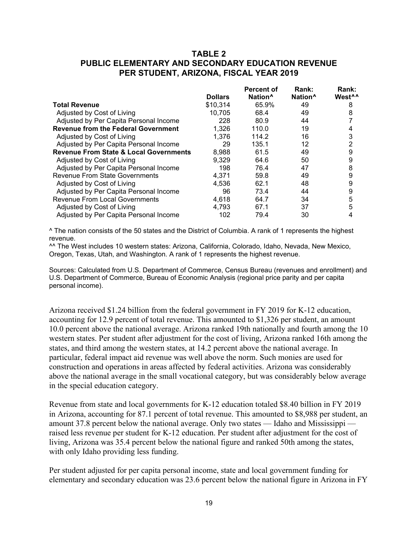### **TABLE 2 PUBLIC ELEMENTARY AND SECONDARY EDUCATION REVENUE PER STUDENT, ARIZONA, FISCAL YEAR 2019**

|                                                   | <b>Dollars</b> | <b>Percent of</b><br>Nation <sup>^</sup> | Rank:<br>Nation <sup>^</sup> | Rank:<br>West <sup>^^</sup> |
|---------------------------------------------------|----------------|------------------------------------------|------------------------------|-----------------------------|
|                                                   |                |                                          |                              |                             |
| <b>Total Revenue</b>                              | \$10,314       | 65.9%                                    | 49                           | 8                           |
| Adjusted by Cost of Living                        | 10.705         | 68.4                                     | 49                           | 8                           |
| Adjusted by Per Capita Personal Income            | 228            | 80.9                                     | 44                           |                             |
| <b>Revenue from the Federal Government</b>        | 1,326          | 110.0                                    | 19                           | 4                           |
| Adjusted by Cost of Living                        | 1,376          | 114.2                                    | 16                           | 3                           |
| Adjusted by Per Capita Personal Income            | 29             | 135.1                                    | 12                           | 2                           |
| <b>Revenue From State &amp; Local Governments</b> | 8.988          | 61.5                                     | 49                           | 9                           |
| Adjusted by Cost of Living                        | 9,329          | 64.6                                     | 50                           | 9                           |
| Adjusted by Per Capita Personal Income            | 198            | 76.4                                     | 47                           | 8                           |
| <b>Revenue From State Governments</b>             | 4.371          | 59.8                                     | 49                           | 9                           |
| Adjusted by Cost of Living                        | 4.536          | 62.1                                     | 48                           | 9                           |
| Adjusted by Per Capita Personal Income            | 96             | 73.4                                     | 44                           | 9                           |
| <b>Revenue From Local Governments</b>             | 4.618          | 64.7                                     | 34                           | 5                           |
| Adjusted by Cost of Living                        | 4,793          | 67.1                                     | 37                           | 5                           |
| Adjusted by Per Capita Personal Income            | 102            | 79.4                                     | 30                           | 4                           |

^ The nation consists of the 50 states and the District of Columbia. A rank of 1 represents the highest revenue.

^^ The West includes 10 western states: Arizona, California, Colorado, Idaho, Nevada, New Mexico, Oregon, Texas, Utah, and Washington. A rank of 1 represents the highest revenue.

Sources: Calculated from U.S. Department of Commerce, Census Bureau (revenues and enrollment) and U.S. Department of Commerce, Bureau of Economic Analysis (regional price parity and per capita personal income).

Arizona received \$1.24 billion from the federal government in FY 2019 for K-12 education, accounting for 12.9 percent of total revenue. This amounted to \$1,326 per student, an amount 10.0 percent above the national average. Arizona ranked 19th nationally and fourth among the 10 western states. Per student after adjustment for the cost of living, Arizona ranked 16th among the states, and third among the western states, at 14.2 percent above the national average. In particular, federal impact aid revenue was well above the norm. Such monies are used for construction and operations in areas affected by federal activities. Arizona was considerably above the national average in the small vocational category, but was considerably below average in the special education category.

Revenue from state and local governments for K-12 education totaled \$8.40 billion in FY 2019 in Arizona, accounting for 87.1 percent of total revenue. This amounted to \$8,988 per student, an amount 37.8 percent below the national average. Only two states — Idaho and Mississippi raised less revenue per student for K-12 education. Per student after adjustment for the cost of living, Arizona was 35.4 percent below the national figure and ranked 50th among the states, with only Idaho providing less funding.

Per student adjusted for per capita personal income, state and local government funding for elementary and secondary education was 23.6 percent below the national figure in Arizona in FY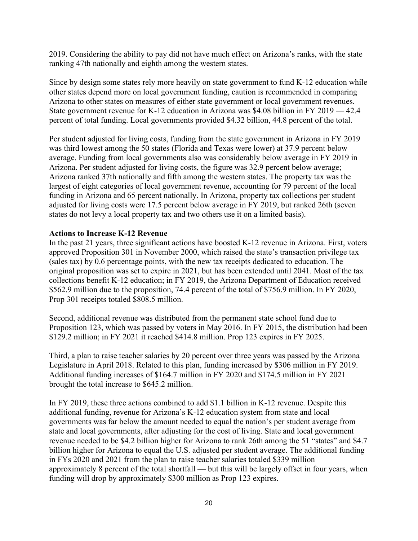2019. Considering the ability to pay did not have much effect on Arizona's ranks, with the state ranking 47th nationally and eighth among the western states.

Since by design some states rely more heavily on state government to fund K-12 education while other states depend more on local government funding, caution is recommended in comparing Arizona to other states on measures of either state government or local government revenues. State government revenue for K-12 education in Arizona was \$4.08 billion in FY 2019 — 42.4 percent of total funding. Local governments provided \$4.32 billion, 44.8 percent of the total.

Per student adjusted for living costs, funding from the state government in Arizona in FY 2019 was third lowest among the 50 states (Florida and Texas were lower) at 37.9 percent below average. Funding from local governments also was considerably below average in FY 2019 in Arizona. Per student adjusted for living costs, the figure was 32.9 percent below average; Arizona ranked 37th nationally and fifth among the western states. The property tax was the largest of eight categories of local government revenue, accounting for 79 percent of the local funding in Arizona and 65 percent nationally. In Arizona, property tax collections per student adjusted for living costs were 17.5 percent below average in FY 2019, but ranked 26th (seven states do not levy a local property tax and two others use it on a limited basis).

#### **Actions to Increase K-12 Revenue**

In the past 21 years, three significant actions have boosted K-12 revenue in Arizona. First, voters approved Proposition 301 in November 2000, which raised the state's transaction privilege tax (sales tax) by 0.6 percentage points, with the new tax receipts dedicated to education. The original proposition was set to expire in 2021, but has been extended until 2041. Most of the tax collections benefit K-12 education; in FY 2019, the Arizona Department of Education received \$562.9 million due to the proposition, 74.4 percent of the total of \$756.9 million. In FY 2020, Prop 301 receipts totaled \$808.5 million.

Second, additional revenue was distributed from the permanent state school fund due to Proposition 123, which was passed by voters in May 2016. In FY 2015, the distribution had been \$129.2 million; in FY 2021 it reached \$414.8 million. Prop 123 expires in FY 2025.

Third, a plan to raise teacher salaries by 20 percent over three years was passed by the Arizona Legislature in April 2018. Related to this plan, funding increased by \$306 million in FY 2019. Additional funding increases of \$164.7 million in FY 2020 and \$174.5 million in FY 2021 brought the total increase to \$645.2 million.

In FY 2019, these three actions combined to add \$1.1 billion in K-12 revenue. Despite this additional funding, revenue for Arizona's K-12 education system from state and local governments was far below the amount needed to equal the nation's per student average from state and local governments, after adjusting for the cost of living. State and local government revenue needed to be \$4.2 billion higher for Arizona to rank 26th among the 51 "states" and \$4.7 billion higher for Arizona to equal the U.S. adjusted per student average. The additional funding in FYs 2020 and 2021 from the plan to raise teacher salaries totaled \$339 million approximately 8 percent of the total shortfall — but this will be largely offset in four years, when funding will drop by approximately \$300 million as Prop 123 expires.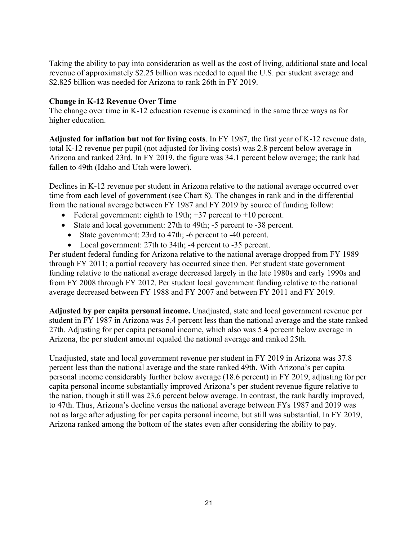Taking the ability to pay into consideration as well as the cost of living, additional state and local revenue of approximately \$2.25 billion was needed to equal the U.S. per student average and \$2.825 billion was needed for Arizona to rank 26th in FY 2019.

#### **Change in K-12 Revenue Over Time**

The change over time in K-12 education revenue is examined in the same three ways as for higher education.

**Adjusted for inflation but not for living costs**. In FY 1987, the first year of K-12 revenue data, total K-12 revenue per pupil (not adjusted for living costs) was 2.8 percent below average in Arizona and ranked 23rd. In FY 2019, the figure was 34.1 percent below average; the rank had fallen to 49th (Idaho and Utah were lower).

Declines in K-12 revenue per student in Arizona relative to the national average occurred over time from each level of government (see Chart 8). The changes in rank and in the differential from the national average between FY 1987 and FY 2019 by source of funding follow:

- Federal government: eighth to 19th;  $+37$  percent to  $+10$  percent.
- State and local government: 27th to 49th; -5 percent to -38 percent.
	- State government: 23rd to 47th; -6 percent to -40 percent.
	- Local government: 27th to 34th; -4 percent to -35 percent.

Per student federal funding for Arizona relative to the national average dropped from FY 1989 through FY 2011; a partial recovery has occurred since then. Per student state government funding relative to the national average decreased largely in the late 1980s and early 1990s and from FY 2008 through FY 2012. Per student local government funding relative to the national average decreased between FY 1988 and FY 2007 and between FY 2011 and FY 2019.

**Adjusted by per capita personal income.** Unadjusted, state and local government revenue per student in FY 1987 in Arizona was 5.4 percent less than the national average and the state ranked 27th. Adjusting for per capita personal income, which also was 5.4 percent below average in Arizona, the per student amount equaled the national average and ranked 25th.

Unadjusted, state and local government revenue per student in FY 2019 in Arizona was 37.8 percent less than the national average and the state ranked 49th. With Arizona's per capita personal income considerably further below average (18.6 percent) in FY 2019, adjusting for per capita personal income substantially improved Arizona's per student revenue figure relative to the nation, though it still was 23.6 percent below average. In contrast, the rank hardly improved, to 47th. Thus, Arizona's decline versus the national average between FYs 1987 and 2019 was not as large after adjusting for per capita personal income, but still was substantial. In FY 2019, Arizona ranked among the bottom of the states even after considering the ability to pay.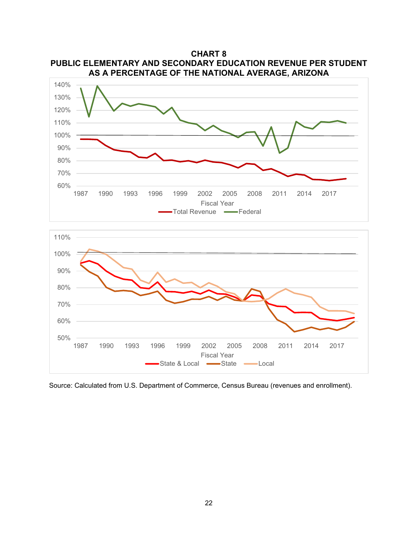

**CHART 8 PUBLIC ELEMENTARY AND SECONDARY EDUCATION REVENUE PER STUDENT AS A PERCENTAGE OF THE NATIONAL AVERAGE, ARIZONA**

Source: Calculated from U.S. Department of Commerce, Census Bureau (revenues and enrollment).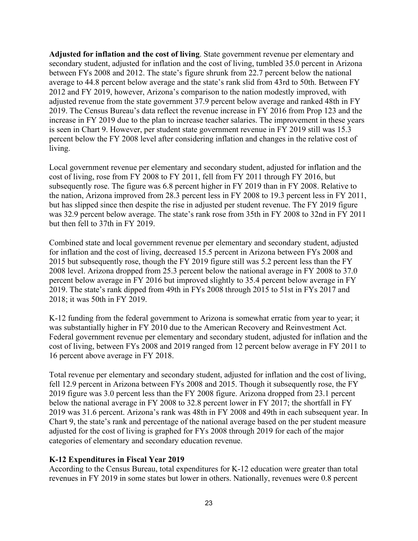**Adjusted for inflation and the cost of living**. State government revenue per elementary and secondary student, adjusted for inflation and the cost of living, tumbled 35.0 percent in Arizona between FYs 2008 and 2012. The state's figure shrunk from 22.7 percent below the national average to 44.8 percent below average and the state's rank slid from 43rd to 50th. Between FY 2012 and FY 2019, however, Arizona's comparison to the nation modestly improved, with adjusted revenue from the state government 37.9 percent below average and ranked 48th in FY 2019. The Census Bureau's data reflect the revenue increase in FY 2016 from Prop 123 and the increase in FY 2019 due to the plan to increase teacher salaries. The improvement in these years is seen in Chart 9. However, per student state government revenue in FY 2019 still was 15.3 percent below the FY 2008 level after considering inflation and changes in the relative cost of living.

Local government revenue per elementary and secondary student, adjusted for inflation and the cost of living, rose from FY 2008 to FY 2011, fell from FY 2011 through FY 2016, but subsequently rose. The figure was 6.8 percent higher in FY 2019 than in FY 2008. Relative to the nation, Arizona improved from 28.3 percent less in FY 2008 to 19.3 percent less in FY 2011, but has slipped since then despite the rise in adjusted per student revenue. The FY 2019 figure was 32.9 percent below average. The state's rank rose from 35th in FY 2008 to 32nd in FY 2011 but then fell to 37th in FY 2019.

Combined state and local government revenue per elementary and secondary student, adjusted for inflation and the cost of living, decreased 15.5 percent in Arizona between FYs 2008 and 2015 but subsequently rose, though the FY 2019 figure still was 5.2 percent less than the FY 2008 level. Arizona dropped from 25.3 percent below the national average in FY 2008 to 37.0 percent below average in FY 2016 but improved slightly to 35.4 percent below average in FY 2019. The state's rank dipped from 49th in FYs 2008 through 2015 to 51st in FYs 2017 and 2018; it was 50th in FY 2019.

K-12 funding from the federal government to Arizona is somewhat erratic from year to year; it was substantially higher in FY 2010 due to the American Recovery and Reinvestment Act. Federal government revenue per elementary and secondary student, adjusted for inflation and the cost of living, between FYs 2008 and 2019 ranged from 12 percent below average in FY 2011 to 16 percent above average in FY 2018.

Total revenue per elementary and secondary student, adjusted for inflation and the cost of living, fell 12.9 percent in Arizona between FYs 2008 and 2015. Though it subsequently rose, the FY 2019 figure was 3.0 percent less than the FY 2008 figure. Arizona dropped from 23.1 percent below the national average in FY 2008 to 32.8 percent lower in FY 2017; the shortfall in FY 2019 was 31.6 percent. Arizona's rank was 48th in FY 2008 and 49th in each subsequent year. In Chart 9, the state's rank and percentage of the national average based on the per student measure adjusted for the cost of living is graphed for FYs 2008 through 2019 for each of the major categories of elementary and secondary education revenue.

### **K-12 Expenditures in Fiscal Year 2019**

According to the Census Bureau, total expenditures for K-12 education were greater than total revenues in FY 2019 in some states but lower in others. Nationally, revenues were 0.8 percent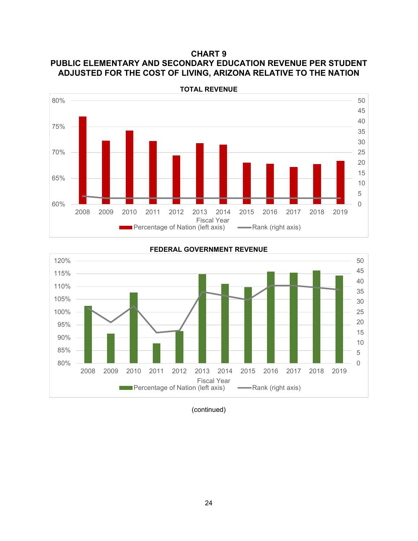**CHART 9 PUBLIC ELEMENTARY AND SECONDARY EDUCATION REVENUE PER STUDENT ADJUSTED FOR THE COST OF LIVING, ARIZONA RELATIVE TO THE NATION**



0 5 10 15 20 25 30 35 40 45 50 80% 85% 90% 95% 100% 105% 110% 115% 120% 2008 2009 2010 2011 2012 2013 2014 2015 2016 2017 2018 2019

**FEDERAL GOVERNMENT REVENUE**

(continued)

Fiscal Year **Percentage of Nation (left axis) Allemance Percentage of Nation (left axis)**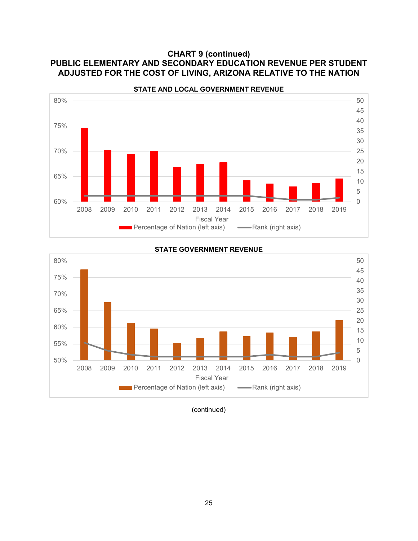## **CHART 9 (continued) PUBLIC ELEMENTARY AND SECONDARY EDUCATION REVENUE PER STUDENT ADJUSTED FOR THE COST OF LIVING, ARIZONA RELATIVE TO THE NATION**





# **STATE GOVERNMENT REVENUE**

(continued)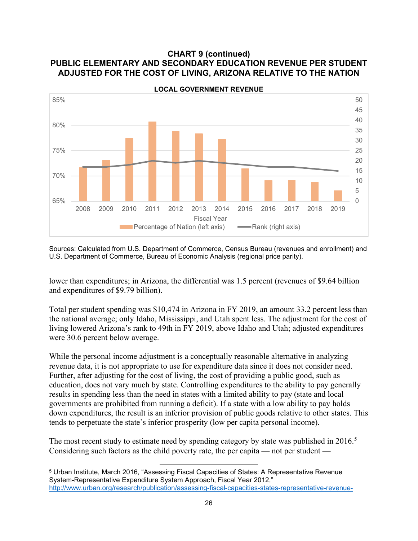#### **CHART 9 (continued) PUBLIC ELEMENTARY AND SECONDARY EDUCATION REVENUE PER STUDENT ADJUSTED FOR THE COST OF LIVING, ARIZONA RELATIVE TO THE NATION**



**LOCAL GOVERNMENT REVENUE**

Sources: Calculated from U.S. Department of Commerce, Census Bureau (revenues and enrollment) and U.S. Department of Commerce, Bureau of Economic Analysis (regional price parity).

lower than expenditures; in Arizona, the differential was 1.5 percent (revenues of \$9.64 billion and expenditures of \$9.79 billion).

Total per student spending was \$10,474 in Arizona in FY 2019, an amount 33.2 percent less than the national average; only Idaho, Mississippi, and Utah spent less. The adjustment for the cost of living lowered Arizona's rank to 49th in FY 2019, above Idaho and Utah; adjusted expenditures were 30.6 percent below average.

While the personal income adjustment is a conceptually reasonable alternative in analyzing revenue data, it is not appropriate to use for expenditure data since it does not consider need. Further, after adjusting for the cost of living, the cost of providing a public good, such as education, does not vary much by state. Controlling expenditures to the ability to pay generally results in spending less than the need in states with a limited ability to pay (state and local governments are prohibited from running a deficit). If a state with a low ability to pay holds down expenditures, the result is an inferior provision of public goods relative to other states. This tends to perpetuate the state's inferior prosperity (low per capita personal income).

The most recent study to estimate need by spending category by state was published in 2016.<sup>[5](#page-28-0)</sup> Considering such factors as the child poverty rate, the per capita — not per student —

<span id="page-28-0"></span><sup>5</sup> Urban Institute, March 2016, "Assessing Fiscal Capacities of States: A Representative Revenue System-Representative Expenditure System Approach, Fiscal Year 2012," [http://www.urban.org/research/publication/assessing-fiscal-capacities-states-representative-revenue-](http://www.urban.org/research/publication/assessing-fiscal-capacities-states-representative-revenue-system-representative-expenditure-system-approach-fiscal-year-2012)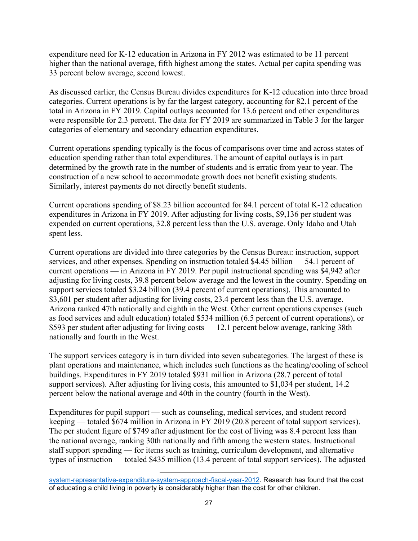expenditure need for K-12 education in Arizona in FY 2012 was estimated to be 11 percent higher than the national average, fifth highest among the states. Actual per capita spending was 33 percent below average, second lowest.

As discussed earlier, the Census Bureau divides expenditures for K-12 education into three broad categories. Current operations is by far the largest category, accounting for 82.1 percent of the total in Arizona in FY 2019. Capital outlays accounted for 13.6 percent and other expenditures were responsible for 2.3 percent. The data for FY 2019 are summarized in Table 3 for the larger categories of elementary and secondary education expenditures.

Current operations spending typically is the focus of comparisons over time and across states of education spending rather than total expenditures. The amount of capital outlays is in part determined by the growth rate in the number of students and is erratic from year to year. The construction of a new school to accommodate growth does not benefit existing students. Similarly, interest payments do not directly benefit students.

Current operations spending of \$8.23 billion accounted for 84.1 percent of total K-12 education expenditures in Arizona in FY 2019. After adjusting for living costs, \$9,136 per student was expended on current operations, 32.8 percent less than the U.S. average. Only Idaho and Utah spent less.

Current operations are divided into three categories by the Census Bureau: instruction, support services, and other expenses. Spending on instruction totaled \$4.45 billion — 54.1 percent of current operations — in Arizona in FY 2019. Per pupil instructional spending was \$4,942 after adjusting for living costs, 39.8 percent below average and the lowest in the country. Spending on support services totaled \$3.24 billion (39.4 percent of current operations). This amounted to \$3,601 per student after adjusting for living costs, 23.4 percent less than the U.S. average. Arizona ranked 47th nationally and eighth in the West. Other current operations expenses (such as food services and adult education) totaled \$534 million (6.5 percent of current operations), or \$593 per student after adjusting for living costs — 12.1 percent below average, ranking 38th nationally and fourth in the West.

The support services category is in turn divided into seven subcategories. The largest of these is plant operations and maintenance, which includes such functions as the heating/cooling of school buildings. Expenditures in FY 2019 totaled \$931 million in Arizona (28.7 percent of total support services). After adjusting for living costs, this amounted to \$1,034 per student, 14.2 percent below the national average and 40th in the country (fourth in the West).

Expenditures for pupil support — such as counseling, medical services, and student record keeping — totaled \$674 million in Arizona in FY 2019 (20.8 percent of total support services). The per student figure of \$749 after adjustment for the cost of living was 8.4 percent less than the national average, ranking 30th nationally and fifth among the western states. Instructional staff support spending — for items such as training, curriculum development, and alternative types of instruction — totaled \$435 million (13.4 percent of total support services). The adjusted

[system-representative-expenditure-system-approach-fiscal-year-2012.](http://www.urban.org/research/publication/assessing-fiscal-capacities-states-representative-revenue-system-representative-expenditure-system-approach-fiscal-year-2012) Research has found that the cost of educating a child living in poverty is considerably higher than the cost for other children.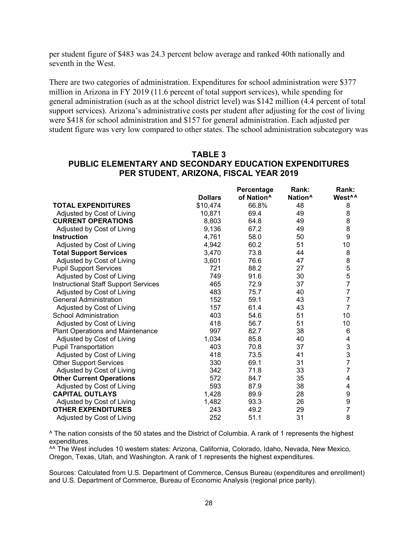per student figure of \$483 was 24.3 percent below average and ranked 40th nationally and seventh in the West.

There are two categories of administration. Expenditures for school administration were \$377 million in Arizona in FY 2019 (11.6 percent of total support services), while spending for general administration (such as at the school district level) was \$142 million (4.4 percent of total support services). Arizona's administrative costs per student after adjusting for the cost of living were \$418 for school administration and \$157 for general administration. Each adjusted per student figure was very low compared to other states. The school administration subcategory was

#### **TABLE 3 PUBLIC ELEMENTARY AND SECONDARY EDUCATION EXPENDITURES PER STUDENT, ARIZONA, FISCAL YEAR 2019**

|                                             |                | Percentage             | Rank:               | Rank:              |
|---------------------------------------------|----------------|------------------------|---------------------|--------------------|
|                                             | <b>Dollars</b> | of Nation <sup>^</sup> | Nation <sup>^</sup> | West <sup>^^</sup> |
| <b>TOTAL EXPENDITURES</b>                   | \$10,474       | 66.8%                  | 48                  | 8                  |
| Adjusted by Cost of Living                  | 10,871         | 69.4                   | 49                  | 8                  |
| <b>CURRENT OPERATIONS</b>                   | 8,803          | 64.8                   | 49                  | 8                  |
| Adjusted by Cost of Living                  | 9,136          | 67.2                   | 49                  | 8                  |
| <b>Instruction</b>                          | 4,761          | 58.0                   | 50                  | 9                  |
| Adjusted by Cost of Living                  | 4,942          | 60.2                   | 51                  | 10                 |
| <b>Total Support Services</b>               | 3,470          | 73.8                   | 44                  | 8                  |
| Adjusted by Cost of Living                  | 3,601          | 76.6                   | 47                  | 8                  |
| <b>Pupil Support Services</b>               | 721            | 88.2                   | 27                  |                    |
| Adjusted by Cost of Living                  | 749            | 91.6                   | 30                  | 5<br>5<br>7        |
| <b>Instructional Staff Support Services</b> | 465            | 72.9                   | 37                  |                    |
| Adjusted by Cost of Living                  | 483            | 75.7                   | 40                  | $\overline{7}$     |
| <b>General Administration</b>               | 152            | 59.1                   | 43                  | $\overline{7}$     |
| Adjusted by Cost of Living                  | 157            | 61.4                   | 43                  | $\overline{7}$     |
| <b>School Administration</b>                | 403            | 54.6                   | 51                  | 10                 |
| Adjusted by Cost of Living                  | 418            | 56.7                   | 51                  | 10 <sup>1</sup>    |
| <b>Plant Operations and Maintenance</b>     | 997            | 82.7                   | 38                  | 6                  |
| Adjusted by Cost of Living                  | 1,034          | 85.8                   | 40                  | 4                  |
| <b>Pupil Transportation</b>                 | 403            | 70.8                   | 37                  | 3                  |
| Adjusted by Cost of Living                  | 418            | 73.5                   | 41                  | 3                  |
| <b>Other Support Services</b>               | 330            | 69.1                   | 31                  | $\overline{7}$     |
| Adjusted by Cost of Living                  | 342            | 71.8                   | 33                  | $\overline{7}$     |
| <b>Other Current Operations</b>             | 572            | 84.7                   | 35                  | 4                  |
| Adjusted by Cost of Living                  | 593            | 87.9                   | 38                  | 4                  |
| <b>CAPITAL OUTLAYS</b>                      | 1,428          | 89.9                   | 28                  | 9                  |
| Adjusted by Cost of Living                  | 1,482          | 93.3                   | 26                  | 9                  |
| <b>OTHER EXPENDITURES</b>                   | 243            | 49.2                   | 29                  | $\overline{7}$     |
| Adjusted by Cost of Living                  | 252            | 51.1                   | 31                  | 8                  |

^ The nation consists of the 50 states and the District of Columbia. A rank of 1 represents the highest expenditures.

<sup>^^</sup> The West includes 10 western states: Arizona, California, Colorado, Idaho, Nevada, New Mexico, Oregon, Texas, Utah, and Washington. A rank of 1 represents the highest expenditures.

Sources: Calculated from U.S. Department of Commerce, Census Bureau (expenditures and enrollment) and U.S. Department of Commerce, Bureau of Economic Analysis (regional price parity).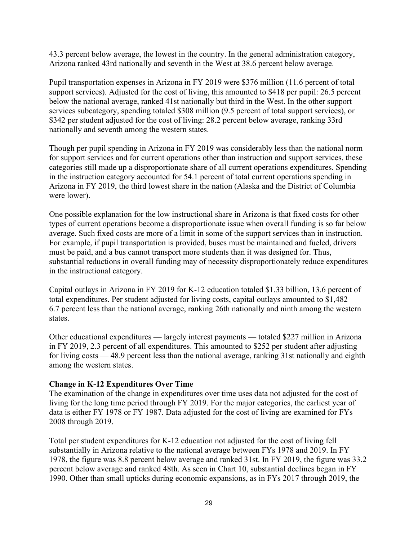43.3 percent below average, the lowest in the country. In the general administration category, Arizona ranked 43rd nationally and seventh in the West at 38.6 percent below average.

Pupil transportation expenses in Arizona in FY 2019 were \$376 million (11.6 percent of total support services). Adjusted for the cost of living, this amounted to \$418 per pupil: 26.5 percent below the national average, ranked 41st nationally but third in the West. In the other support services subcategory, spending totaled \$308 million (9.5 percent of total support services), or \$342 per student adjusted for the cost of living: 28.2 percent below average, ranking 33rd nationally and seventh among the western states.

Though per pupil spending in Arizona in FY 2019 was considerably less than the national norm for support services and for current operations other than instruction and support services, these categories still made up a disproportionate share of all current operations expenditures. Spending in the instruction category accounted for 54.1 percent of total current operations spending in Arizona in FY 2019, the third lowest share in the nation (Alaska and the District of Columbia were lower).

One possible explanation for the low instructional share in Arizona is that fixed costs for other types of current operations become a disproportionate issue when overall funding is so far below average. Such fixed costs are more of a limit in some of the support services than in instruction. For example, if pupil transportation is provided, buses must be maintained and fueled, drivers must be paid, and a bus cannot transport more students than it was designed for. Thus, substantial reductions in overall funding may of necessity disproportionately reduce expenditures in the instructional category.

Capital outlays in Arizona in FY 2019 for K-12 education totaled \$1.33 billion, 13.6 percent of total expenditures. Per student adjusted for living costs, capital outlays amounted to \$1,482 — 6.7 percent less than the national average, ranking 26th nationally and ninth among the western states.

Other educational expenditures — largely interest payments — totaled \$227 million in Arizona in FY 2019, 2.3 percent of all expenditures. This amounted to \$252 per student after adjusting for living costs — 48.9 percent less than the national average, ranking 31st nationally and eighth among the western states.

#### **Change in K-12 Expenditures Over Time**

The examination of the change in expenditures over time uses data not adjusted for the cost of living for the long time period through FY 2019. For the major categories, the earliest year of data is either FY 1978 or FY 1987. Data adjusted for the cost of living are examined for FYs 2008 through 2019.

Total per student expenditures for K-12 education not adjusted for the cost of living fell substantially in Arizona relative to the national average between FYs 1978 and 2019. In FY 1978, the figure was 8.8 percent below average and ranked 31st. In FY 2019, the figure was 33.2 percent below average and ranked 48th. As seen in Chart 10, substantial declines began in FY 1990. Other than small upticks during economic expansions, as in FYs 2017 through 2019, the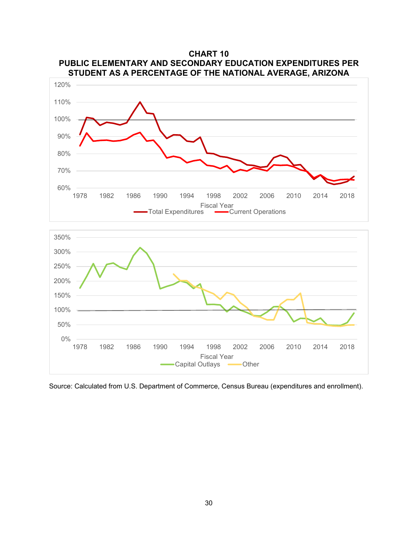

**CHART 10**



Source: Calculated from U.S. Department of Commerce, Census Bureau (expenditures and enrollment).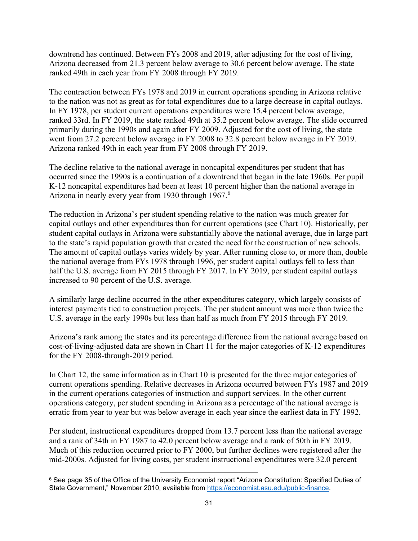downtrend has continued. Between FYs 2008 and 2019, after adjusting for the cost of living, Arizona decreased from 21.3 percent below average to 30.6 percent below average. The state ranked 49th in each year from FY 2008 through FY 2019.

The contraction between FYs 1978 and 2019 in current operations spending in Arizona relative to the nation was not as great as for total expenditures due to a large decrease in capital outlays. In FY 1978, per student current operations expenditures were 15.4 percent below average, ranked 33rd. In FY 2019, the state ranked 49th at 35.2 percent below average. The slide occurred primarily during the 1990s and again after FY 2009. Adjusted for the cost of living, the state went from 27.2 percent below average in FY 2008 to 32.8 percent below average in FY 2019. Arizona ranked 49th in each year from FY 2008 through FY 2019.

The decline relative to the national average in noncapital expenditures per student that has occurred since the 1990s is a continuation of a downtrend that began in the late 1960s. Per pupil K-12 noncapital expenditures had been at least 10 percent higher than the national average in Arizona in nearly every year from 1930 through 1967.[6](#page-33-0)

The reduction in Arizona's per student spending relative to the nation was much greater for capital outlays and other expenditures than for current operations (see Chart 10). Historically, per student capital outlays in Arizona were substantially above the national average, due in large part to the state's rapid population growth that created the need for the construction of new schools. The amount of capital outlays varies widely by year. After running close to, or more than, double the national average from FYs 1978 through 1996, per student capital outlays fell to less than half the U.S. average from FY 2015 through FY 2017. In FY 2019, per student capital outlays increased to 90 percent of the U.S. average.

A similarly large decline occurred in the other expenditures category, which largely consists of interest payments tied to construction projects. The per student amount was more than twice the U.S. average in the early 1990s but less than half as much from FY 2015 through FY 2019.

Arizona's rank among the states and its percentage difference from the national average based on cost-of-living-adjusted data are shown in Chart 11 for the major categories of K-12 expenditures for the FY 2008-through-2019 period.

In Chart 12, the same information as in Chart 10 is presented for the three major categories of current operations spending. Relative decreases in Arizona occurred between FYs 1987 and 2019 in the current operations categories of instruction and support services. In the other current operations category, per student spending in Arizona as a percentage of the national average is erratic from year to year but was below average in each year since the earliest data in FY 1992.

Per student, instructional expenditures dropped from 13.7 percent less than the national average and a rank of 34th in FY 1987 to 42.0 percent below average and a rank of 50th in FY 2019. Much of this reduction occurred prior to FY 2000, but further declines were registered after the mid-2000s. Adjusted for living costs, per student instructional expenditures were 32.0 percent

<span id="page-33-0"></span><sup>&</sup>lt;sup>6</sup> See page 35 of the Office of the University Economist report "Arizona Constitution: Specified Duties of State Government," November 2010, available from [https://economist.asu.edu/public-finance.](https://economist.asu.edu/public-finance)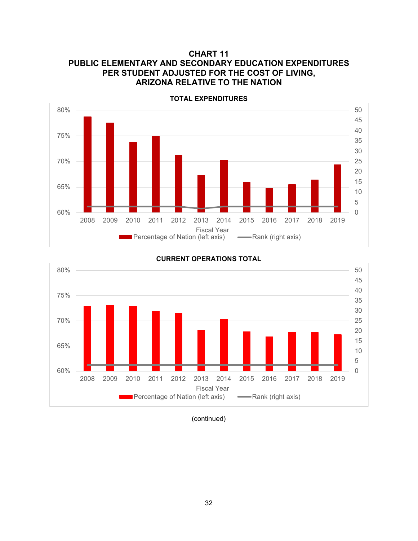## **CHART 11 PUBLIC ELEMENTARY AND SECONDARY EDUCATION EXPENDITURES PER STUDENT ADJUSTED FOR THE COST OF LIVING, ARIZONA RELATIVE TO THE NATION**



**CURRENT OPERATIONS TOTAL**



(continued)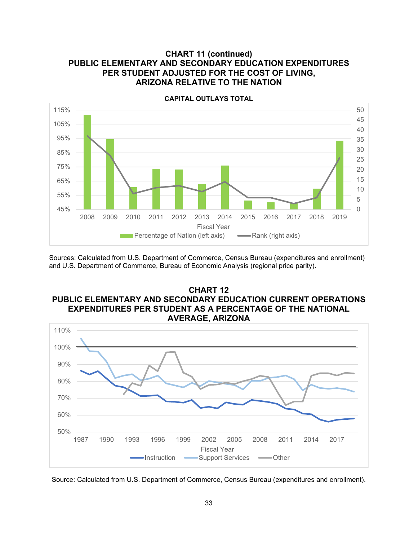#### **CHART 11 (continued) PUBLIC ELEMENTARY AND SECONDARY EDUCATION EXPENDITURES PER STUDENT ADJUSTED FOR THE COST OF LIVING, ARIZONA RELATIVE TO THE NATION**



Sources: Calculated from U.S. Department of Commerce, Census Bureau (expenditures and enrollment) and U.S. Department of Commerce, Bureau of Economic Analysis (regional price parity).

#### **CHART 12 PUBLIC ELEMENTARY AND SECONDARY EDUCATION CURRENT OPERATIONS EXPENDITURES PER STUDENT AS A PERCENTAGE OF THE NATIONAL AVERAGE, ARIZONA**



Source: Calculated from U.S. Department of Commerce, Census Bureau (expenditures and enrollment).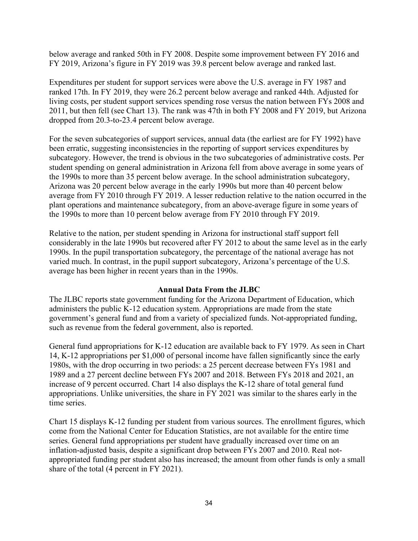below average and ranked 50th in FY 2008. Despite some improvement between FY 2016 and FY 2019, Arizona's figure in FY 2019 was 39.8 percent below average and ranked last.

Expenditures per student for support services were above the U.S. average in FY 1987 and ranked 17th. In FY 2019, they were 26.2 percent below average and ranked 44th. Adjusted for living costs, per student support services spending rose versus the nation between FYs 2008 and 2011, but then fell (see Chart 13). The rank was 47th in both FY 2008 and FY 2019, but Arizona dropped from 20.3-to-23.4 percent below average.

For the seven subcategories of support services, annual data (the earliest are for FY 1992) have been erratic, suggesting inconsistencies in the reporting of support services expenditures by subcategory. However, the trend is obvious in the two subcategories of administrative costs. Per student spending on general administration in Arizona fell from above average in some years of the 1990s to more than 35 percent below average. In the school administration subcategory, Arizona was 20 percent below average in the early 1990s but more than 40 percent below average from FY 2010 through FY 2019. A lesser reduction relative to the nation occurred in the plant operations and maintenance subcategory, from an above-average figure in some years of the 1990s to more than 10 percent below average from FY 2010 through FY 2019.

Relative to the nation, per student spending in Arizona for instructional staff support fell considerably in the late 1990s but recovered after FY 2012 to about the same level as in the early 1990s. In the pupil transportation subcategory, the percentage of the national average has not varied much. In contrast, in the pupil support subcategory, Arizona's percentage of the U.S. average has been higher in recent years than in the 1990s.

#### **Annual Data From the JLBC**

The JLBC reports state government funding for the Arizona Department of Education, which administers the public K-12 education system. Appropriations are made from the state government's general fund and from a variety of specialized funds. Not-appropriated funding, such as revenue from the federal government, also is reported.

General fund appropriations for K-12 education are available back to FY 1979. As seen in Chart 14, K-12 appropriations per \$1,000 of personal income have fallen significantly since the early 1980s, with the drop occurring in two periods: a 25 percent decrease between FYs 1981 and 1989 and a 27 percent decline between FYs 2007 and 2018. Between FYs 2018 and 2021, an increase of 9 percent occurred. Chart 14 also displays the K-12 share of total general fund appropriations. Unlike universities, the share in FY 2021 was similar to the shares early in the time series.

Chart 15 displays K-12 funding per student from various sources. The enrollment figures, which come from the National Center for Education Statistics, are not available for the entire time series. General fund appropriations per student have gradually increased over time on an inflation-adjusted basis, despite a significant drop between FYs 2007 and 2010. Real notappropriated funding per student also has increased; the amount from other funds is only a small share of the total (4 percent in FY 2021).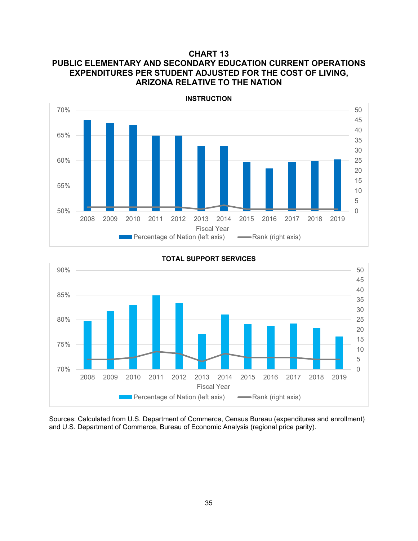## **CHART 13 PUBLIC ELEMENTARY AND SECONDARY EDUCATION CURRENT OPERATIONS EXPENDITURES PER STUDENT ADJUSTED FOR THE COST OF LIVING, ARIZONA RELATIVE TO THE NATION**



0 5 10 15 20 25 30 35 40 45 50 70% 75% 80% 85% 90% 2008 2009 2010 2011 2012 2013 2014 2015 2016 2017 2018 2019 Fiscal Year **Percentage of Nation (left axis)**  $\longrightarrow$  Rank (right axis)

**TOTAL SUPPORT SERVICES**

Sources: Calculated from U.S. Department of Commerce, Census Bureau (expenditures and enrollment) and U.S. Department of Commerce, Bureau of Economic Analysis (regional price parity).